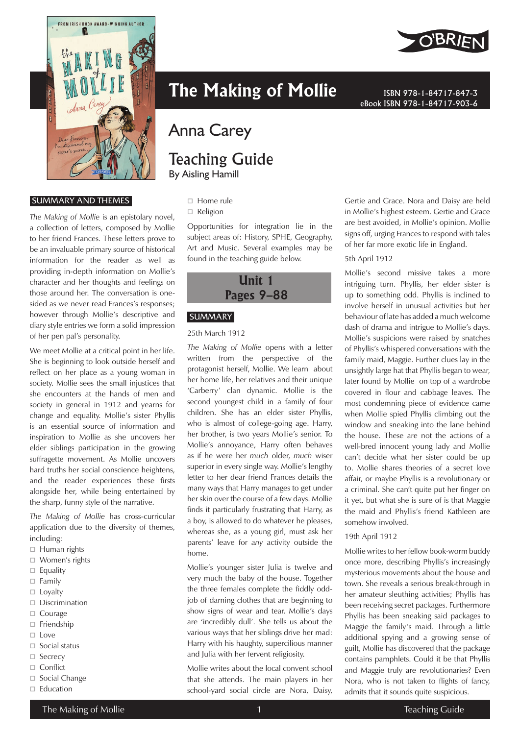

#### SUMMARY AND THEMES

*The Making of Mollie* is an epistolary novel, a collection of letters, composed by Mollie to her friend Frances. These letters prove to be an invaluable primary source of historical information for the reader as well as providing in-depth information on Mollie's character and her thoughts and feelings on those around her. The conversation is onesided as we never read Frances's responses; however through Mollie's descriptive and diary style entries we form a solid impression of her pen pal's personality.

We meet Mollie at a critical point in her life. She is beginning to look outside herself and reflect on her place as a young woman in society. Mollie sees the small injustices that she encounters at the hands of men and society in general in 1912 and yearns for change and equality. Mollie's sister Phyllis is an essential source of information and inspiration to Mollie as she uncovers her elder siblings participation in the growing suffragette movement. As Mollie uncovers hard truths her social conscience heightens, and the reader experiences these firsts alongside her, while being entertained by the sharp, funny style of the narrative.

*The Making of Mollie* has cross-curricular application due to the diversity of themes, including:

- $\Box$  Human rights
- □ Women's rights
- $\Box$  Equality
- $\Box$  Family
- $\Box$  Loyalty
- Discrimination
- □ Courage
- □ Friendship
- $\Box$  Love
- $\Box$  Social status
- □ Secrecy
- □ Conflict
- $\Box$  Social Change
- $\Box$  Education



# Anna Carey

## Teaching Guide By Aisling Hamill

- □ Home rule
- □ Religion

Opportunities for integration lie in the subject areas of: History, SPHE, Geography, Art and Music. Several examples may be found in the teaching guide below.



#### **SUMMARY**

#### 25th March 1912

*The Making of Mollie* opens with a letter written from the perspective of the protagonist herself, Mollie. We learn about her home life, her relatives and their unique 'Carberry' clan dynamic. Mollie is the second youngest child in a family of four children. She has an elder sister Phyllis, who is almost of college-going age. Harry, her brother, is two years Mollie's senior. To Mollie's annoyance, Harry often behaves as if he were her *much* older, *much* wiser superior in every single way. Mollie's lengthy letter to her dear friend Frances details the many ways that Harry manages to get under her skin over the course of a few days. Mollie finds it particularly frustrating that Harry, as a boy, is allowed to do whatever he pleases, whereas she, as a young girl, must ask her parents' leave for *any* activity outside the home.

Mollie's younger sister Julia is twelve and very much the baby of the house. Together the three females complete the fiddly oddjob of darning clothes that are beginning to show signs of wear and tear. Mollie's days are 'incredibly dull'. She tells us about the various ways that her siblings drive her mad: Harry with his haughty, supercilious manner and Julia with her fervent religiosity.

Mollie writes about the local convent school that she attends. The main players in her school-yard social circle are Nora, Daisy,



Gertie and Grace. Nora and Daisy are held in Mollie's highest esteem. Gertie and Grace are best avoided, in Mollie's opinion. Mollie signs off, urging Frances to respond with tales of her far more exotic life in England.

eBook ISBN 978-1-84717-903-6

#### 5th April 1912

Mollie's second missive takes a more intriguing turn. Phyllis, her elder sister is up to something odd. Phyllis is inclined to involve herself in unusual activities but her behaviour of late has added a much welcome dash of drama and intrigue to Mollie's days. Mollie's suspicions were raised by snatches of Phyllis's whispered conversations with the family maid, Maggie. Further clues lay in the unsightly large hat that Phyllis began to wear, later found by Mollie on top of a wardrobe covered in flour and cabbage leaves. The most condemning piece of evidence came when Mollie spied Phyllis climbing out the window and sneaking into the lane behind the house. These are not the actions of a well-bred innocent young lady and Mollie can't decide what her sister could be up to. Mollie shares theories of a secret love affair, or maybe Phyllis is a revolutionary or a criminal. She can't quite put her finger on it yet, but what she is sure of is that Maggie the maid and Phyllis's friend Kathleen are somehow involved.

#### 19th April 1912

Mollie writes to her fellow book-worm buddy once more, describing Phyllis's increasingly mysterious movements about the house and town. She reveals a serious break-through in her amateur sleuthing activities; Phyllis has been receiving secret packages. Furthermore Phyllis has been sneaking said packages to Maggie the family's maid. Through a little additional spying and a growing sense of guilt, Mollie has discovered that the package contains pamphlets. Could it be that Phyllis and Maggie truly are revolutionaries? Even Nora, who is not taken to flights of fancy, admits that it sounds quite suspicious.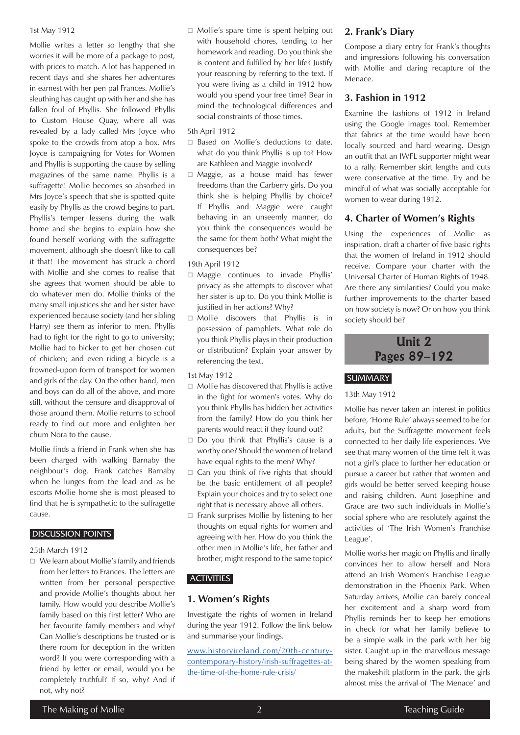#### 1st May 1912

Mollie writes a letter so lengthy that she worries it will be more of a package to post, with prices to match. A lot has happened in recent days and she shares her adventures in earnest with her pen pal Frances. Mollie's sleuthing has caught up with her and she has fallen foul of Phyllis. She followed Phyllis to Custom House Quay, where all was revealed by a lady called Mrs Joyce who spoke to the crowds from atop a box. Mrs Joyce is campaigning for Votes for Women and Phyllis is supporting the cause by selling magazines of the same name. Phyllis is a suffragette! Mollie becomes so absorbed in Mrs Joyce's speech that she is spotted quite easily by Phyllis as the crowd begins to part. Phyllis's temper lessens during the walk home and she begins to explain how she found herself working with the suffragette movement, although she doesn't like to call it that! The movement has struck a chord with Mollie and she comes to realise that she agrees that women should be able to do whatever men do. Mollie thinks of the many small injustices she and her sister have experienced because society (and her sibling Harry) see them as inferior to men. Phyllis had to fight for the right to go to university; Mollie had to bicker to get her chosen cut of chicken; and even riding a bicycle is a frowned-upon form of transport for women and girls of the day. On the other hand, men and boys can do all of the above, and more still, without the censure and disapproval of those around them. Mollie returns to school ready to find out more and enlighten her chum Nora to the cause.

Mollie finds a friend in Frank when she has been charged with walking Barnaby the neighbour's dog. Frank catches Barnaby when he lunges from the lead and as he escorts Mollie home she is most pleased to find that he is sympathetic to the suffragette cause.

#### DISCUSSION POINTS

#### 25th March 1912

 $\Box$  We learn about Mollie's family and friends from her letters to Frances. The letters are written from her personal perspective and provide Mollie's thoughts about her family. How would you describe Mollie's family based on this first letter? Who are her favourite family members and why? Can Mollie's descriptions be trusted or is there room for deception in the written word? If you were corresponding with a friend by letter or email, would you be completely truthful? If so, why? And if not, why not?

 Mollie's spare time is spent helping out with household chores, tending to her homework and reading. Do you think she is content and fulfilled by her life? Justify your reasoning by referring to the text. If you were living as a child in 1912 how would you spend your free time? Bear in mind the technological differences and social constraints of those times.

#### 5th April 1912

- □ Based on Mollie's deductions to date, what do you think Phyllis is up to? How are Kathleen and Maggie involved?
- Maggie, as a house maid has fewer freedoms than the Carberry girls. Do you think she is helping Phyllis by choice? If Phyllis and Maggie were caught behaving in an unseemly manner, do you think the consequences would be the same for them both? What might the consequences be?

#### 19th April 1912

- $\Box$  Maggie continues to invade Phyllis' privacy as she attempts to discover what her sister is up to. Do you think Mollie is justified in her actions? Why?
- Mollie discovers that Phyllis is in possession of pamphlets. What role do you think Phyllis plays in their production or distribution? Explain your answer by referencing the text.

#### 1st May 1912

- $\Box$  Mollie has discovered that Phyllis is active in the fight for women's votes. Why do you think Phyllis has hidden her activities from the family? How do you think her parents would react if they found out?
- $\Box$  Do you think that Phyllis's cause is a worthy one? Should the women of Ireland have equal rights to the men? Why?
- $\Box$  Can you think of five rights that should be the basic entitlement of all people? Explain your choices and try to select one right that is necessary above all others.
- $\Box$  Frank surprises Mollie by listening to her thoughts on equal rights for women and agreeing with her. How do you think the other men in Mollie's life, her father and brother, might respond to the same topic?

## **ACTIVITIES**

## **1. Women's Rights**

Investigate the rights of women in Ireland during the year 1912. Follow the link below and summarise your findings.

[www.historyireland.com/20th-century](http://www.historyireland.com/20th-century-contemporary-history/irish-suffragettes-at-the-time-of-the-home-rule-crisis/)[contemporary-history/irish-suffragettes-at](http://www.historyireland.com/20th-century-contemporary-history/irish-suffragettes-at-the-time-of-the-home-rule-crisis/)[the-time-of-the-home-rule-crisis/](http://www.historyireland.com/20th-century-contemporary-history/irish-suffragettes-at-the-time-of-the-home-rule-crisis/)

#### **2. Frank's Diary**

Compose a diary entry for Frank's thoughts and impressions following his conversation with Mollie and daring recapture of the Menace.

#### **3. Fashion in 1912**

Examine the fashions of 1912 in Ireland using the Google images tool. Remember that fabrics at the time would have been locally sourced and hard wearing. Design an outfit that an IWFL supporter might wear to a rally. Remember skirt lengths and cuts were conservative at the time. Try and be mindful of what was socially acceptable for women to wear during 1912.

## **4. Charter of Women's Rights**

Using the experiences of Mollie as inspiration, draft a charter of five basic rights that the women of Ireland in 1912 should receive. Compare your charter with the Universal Charter of Human Rights of 1948. Are there any similarities? Could you make further improvements to the charter based on how society is now? Or on how you think society should be?



## **SUMMARY**

#### 13th May 1912

Mollie has never taken an interest in politics before, 'Home Rule' always seemed to be for adults, but the Suffragette movement feels connected to her daily life experiences. We see that many women of the time felt it was not a girl's place to further her education or pursue a career but rather that women and girls would be better served keeping house and raising children. Aunt Josephine and Grace are two such individuals in Mollie's social sphere who are resolutely against the activities of 'The Irish Women's Franchise League'.

Mollie works her magic on Phyllis and finally convinces her to allow herself and Nora attend an Irish Women's Franchise League demonstration in the Phoenix Park. When Saturday arrives, Mollie can barely conceal her excitement and a sharp word from Phyllis reminds her to keep her emotions in check for what her family believe to be a simple walk in the park with her big sister. Caught up in the marvellous message being shared by the women speaking from the makeshift platform in the park, the girls almost miss the arrival of 'The Menace' and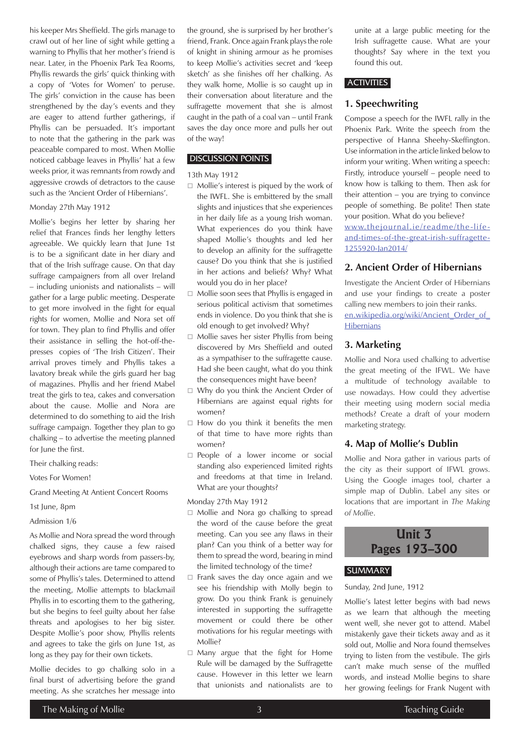his keeper Mrs Sheffield. The girls manage to crawl out of her line of sight while getting a warning to Phyllis that her mother's friend is near. Later, in the Phoenix Park Tea Rooms, Phyllis rewards the girls' quick thinking with a copy of 'Votes for Women' to peruse. The girls' conviction in the cause has been strengthened by the day's events and they are eager to attend further gatherings, if Phyllis can be persuaded. It's important to note that the gathering in the park was peaceable compared to most. When Mollie noticed cabbage leaves in Phyllis' hat a few weeks prior, it was remnants from rowdy and aggressive crowds of detractors to the cause such as the 'Ancient Order of Hibernians'.

#### Monday 27th May 1912

Mollie's begins her letter by sharing her relief that Frances finds her lengthy letters agreeable. We quickly learn that June 1st is to be a significant date in her diary and that of the Irish suffrage cause. On that day suffrage campaigners from all over Ireland – including unionists and nationalists – will gather for a large public meeting. Desperate to get more involved in the fight for equal rights for women, Mollie and Nora set off for town. They plan to find Phyllis and offer their assistance in selling the hot-off-thepresses copies of 'The Irish Citizen'. Their arrival proves timely and Phyllis takes a lavatory break while the girls guard her bag of magazines. Phyllis and her friend Mabel treat the girls to tea, cakes and conversation about the cause. Mollie and Nora are determined to do something to aid the Irish suffrage campaign. Together they plan to go chalking – to advertise the meeting planned for June the first.

Their chalking reads:

Votes For Women!

Grand Meeting At Antient Concert Rooms

- 1st June, 8pm
- Admission 1/6

As Mollie and Nora spread the word through chalked signs, they cause a few raised eyebrows and sharp words from passers-by, although their actions are tame compared to some of Phyllis's tales. Determined to attend the meeting, Mollie attempts to blackmail Phyllis in to escorting them to the gathering, but she begins to feel guilty about her false threats and apologises to her big sister. Despite Mollie's poor show, Phyllis relents and agrees to take the girls on June 1st, as long as they pay for their own tickets.

Mollie decides to go chalking solo in a final burst of advertising before the grand meeting. As she scratches her message into the ground, she is surprised by her brother's friend, Frank. Once again Frank plays the role of knight in shining armour as he promises to keep Mollie's activities secret and 'keep sketch' as she finishes off her chalking. As they walk home, Mollie is so caught up in their conversation about literature and the suffragette movement that she is almost caught in the path of a coal van – until Frank saves the day once more and pulls her out of the way!

#### DISCUSSION POINTS

#### 13th May 1912

- $\Box$  Mollie's interest is piqued by the work of the IWFL. She is embittered by the small slights and injustices that she experiences in her daily life as a young Irish woman. What experiences do you think have shaped Mollie's thoughts and led her to develop an affinity for the suffragette cause? Do you think that she is justified in her actions and beliefs? Why? What would you do in her place?
- $\Box$  Mollie soon sees that Phyllis is engaged in serious political activism that sometimes ends in violence. Do you think that she is old enough to get involved? Why?
- $\Box$  Mollie saves her sister Phyllis from being discovered by Mrs Sheffield and outed as a sympathiser to the suffragette cause. Had she been caught, what do you think the consequences might have been?
- □ Why do you think the Ancient Order of Hibernians are against equal rights for women?
- $\Box$  How do you think it benefits the men of that time to have more rights than women?
- **People of a lower income or social** standing also experienced limited rights and freedoms at that time in Ireland. What are your thoughts?

Monday 27th May 1912

- □ Mollie and Nora go chalking to spread the word of the cause before the great meeting. Can you see any flaws in their plan? Can you think of a better way for them to spread the word, bearing in mind the limited technology of the time?
- $\Box$  Frank saves the day once again and we see his friendship with Molly begin to grow. Do you think Frank is genuinely interested in supporting the suffragette movement or could there be other motivations for his regular meetings with Mollie?
- $\Box$  Many argue that the fight for Home Rule will be damaged by the Suffragette cause. However in this letter we learn that unionists and nationalists are to

unite at a large public meeting for the Irish suffragette cause. What are your thoughts? Say where in the text you found this out.

#### **ACTIVITIES**

## **1. Speechwriting**

Compose a speech for the IWFL rally in the Phoenix Park. Write the speech from the perspective of Hanna Sheehy-Skeffington. Use information in the article linked below to inform your writing. When writing a speech: Firstly, introduce yourself – people need to know how is talking to them. Then ask for their attention – you are trying to convince people of something. Be polite! Then state your position. What do you believe? [www.thejournal.ie/readme/the-life](http://www.thejournal.ie/readme/the-life-and-times-of-the-great-irish-suffragette-1255920-Jan2014/)[and-times-of-the-great-irish-suffragette-](http://www.thejournal.ie/readme/the-life-and-times-of-the-great-irish-suffragette-1255920-Jan2014/)[1255920-Jan2014/](http://www.thejournal.ie/readme/the-life-and-times-of-the-great-irish-suffragette-1255920-Jan2014/)

## **2. Ancient Order of Hibernians**

Investigate the Ancient Order of Hibernians and use your findings to create a poster calling new members to join their ranks. en.wikipedia.org/wiki/Ancient\_Order\_of **[Hibernians](https://en.wikipedia.org/wiki/Ancient_Order_of_Hibernians)** 

## **3. Marketing**

Mollie and Nora used chalking to advertise the great meeting of the IFWL. We have a multitude of technology available to use nowadays. How could they advertise their meeting using modern social media methods? Create a draft of your modern marketing strategy.

## **4. Map of Mollie's Dublin**

Mollie and Nora gather in various parts of the city as their support of IFWL grows. Using the Google images tool, charter a simple map of Dublin. Label any sites or locations that are important in *The Making of Mollie*.



## **SUMMARY**

#### Sunday, 2nd June, 1912

Mollie's latest letter begins with bad news as we learn that although the meeting went well, she never got to attend. Mabel mistakenly gave their tickets away and as it sold out, Mollie and Nora found themselves trying to listen from the vestibule. The girls can't make much sense of the muffled words, and instead Mollie begins to share her growing feelings for Frank Nugent with